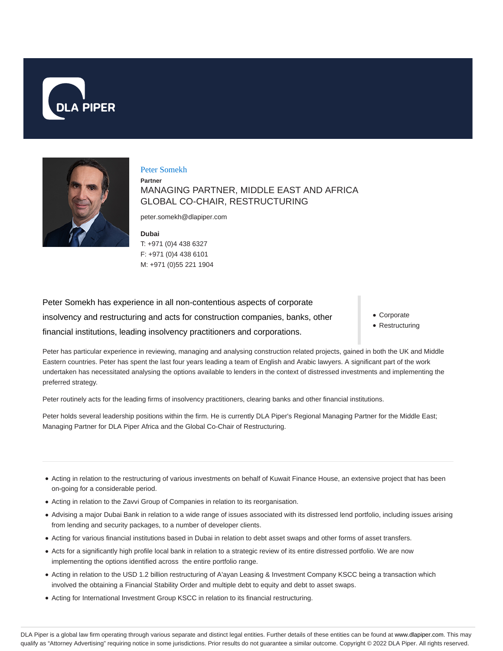



#### Peter Somekh

**Partner** MANAGING PARTNER, MIDDLE EAST AND AFRICA GLOBAL CO-CHAIR, RESTRUCTURING

peter.somekh@dlapiper.com

**Dubai** T: +971 (0)4 438 6327 F: +971 (0)4 438 6101 M: +971 (0)55 221 1904

Peter Somekh has experience in all non-contentious aspects of corporate insolvency and restructuring and acts for construction companies, banks, other financial institutions, leading insolvency practitioners and corporations.

- Corporate
- Restructuring

Peter has particular experience in reviewing, managing and analysing construction related projects, gained in both the UK and Middle Eastern countries. Peter has spent the last four years leading a team of English and Arabic lawyers. A significant part of the work undertaken has necessitated analysing the options available to lenders in the context of distressed investments and implementing the preferred strategy.

Peter routinely acts for the leading firms of insolvency practitioners, clearing banks and other financial institutions.

Peter holds several leadership positions within the firm. He is currently DLA Piper's Regional Managing Partner for the Middle East; Managing Partner for DLA Piper Africa and the Global Co-Chair of Restructuring.

- Acting in relation to the restructuring of various investments on behalf of Kuwait Finance House, an extensive project that has been on-going for a considerable period.
- Acting in relation to the Zavvi Group of Companies in relation to its reorganisation.
- Advising a major Dubai Bank in relation to a wide range of issues associated with its distressed lend portfolio, including issues arising from lending and security packages, to a number of developer clients.
- Acting for various financial institutions based in Dubai in relation to debt asset swaps and other forms of asset transfers.
- Acts for a significantly high profile local bank in relation to a strategic review of its entire distressed portfolio. We are now implementing the options identified across the entire portfolio range.
- Acting in relation to the USD 1.2 billion restructuring of A'ayan Leasing & Investment Company KSCC being a transaction which involved the obtaining a Financial Stability Order and multiple debt to equity and debt to asset swaps.
- Acting for International Investment Group KSCC in relation to its financial restructuring.